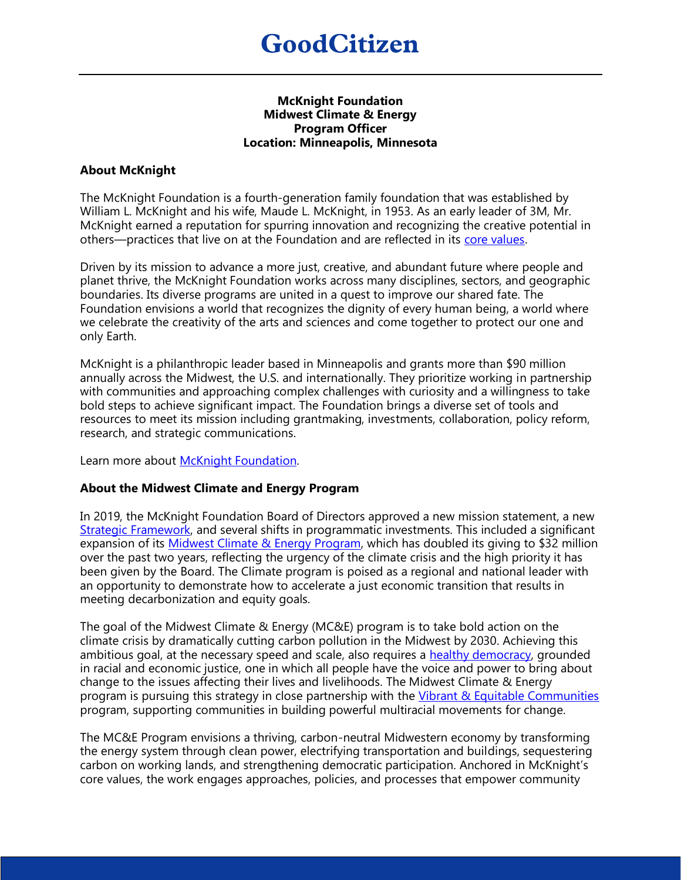#### **McKnight Foundation Midwest Climate & Energy Program Officer Location: Minneapolis, Minnesota**

## **About McKnight**

The McKnight Foundation is a fourth-generation family foundation that was established by William L. McKnight and his wife, Maude L. McKnight, in 1953. As an early leader of 3M, Mr. McKnight earned a reputation for spurring innovation and recognizing the creative potential in others—practices that live on at the Foundation and are reflected in its [core values](https://www.mcknight.org/about/mission-values/).

Driven by its mission to advance a more just, creative, and abundant future where people and planet thrive, the McKnight Foundation works across many disciplines, sectors, and geographic boundaries. Its diverse programs are united in a quest to improve our shared fate. The Foundation envisions a world that recognizes the dignity of every human being, a world where we celebrate the creativity of the arts and sciences and come together to protect our one and only Earth.

McKnight is a philanthropic leader based in Minneapolis and grants more than \$90 million annually across the Midwest, the U.S. and internationally. They prioritize working in partnership with communities and approaching complex challenges with curiosity and a willingness to take bold steps to achieve significant impact. The Foundation brings a diverse set of tools and resources to meet its mission including grantmaking, investments, collaboration, policy reform, research, and strategic communications.

Learn more about [McKnight Foundation.](https://www.mcknight.org/)

### **About the Midwest Climate and Energy Program**

In 2019, the McKnight Foundation Board of Directors approved a new mission statement, a new [Strategic Framework,](https://www.mcknight.org/wp-content/uploads/01-17-19-2019-2021-mcknight-strategic-framework.pdf) and several shifts in programmatic investments. This included a significant expansion of its **Midwest Climate & Energy Program**, which has doubled its giving to \$32 million over the past two years, reflecting the urgency of the climate crisis and the high priority it has been given by the Board. The Climate program is poised as a regional and national leader with an opportunity to demonstrate how to accelerate a just economic transition that results in meeting decarbonization and equity goals.

The goal of the Midwest Climate & Energy (MC&E) program is to take bold action on the climate crisis by dramatically cutting carbon pollution in the Midwest by 2030. Achieving this ambitious goal, at the necessary speed and scale, also requires a [healthy democracy,](https://www.mcknight.org/news-ideas/why-we-need-to-center-racial-equity-in-the-climate-movement/) grounded in racial and economic justice, one in which all people have the voice and power to bring about change to the issues affecting their lives and livelihoods. The Midwest Climate & Energy program is pursuing this strategy in close partnership with the [Vibrant & Equitable Communities](https://www.mcknight.org/programs/vibrant-and-equitable-communities/) program, supporting communities in building powerful multiracial movements for change.

The MC&E Program envisions a thriving, carbon-neutral Midwestern economy by transforming the energy system through clean power, electrifying transportation and buildings, sequestering carbon on working lands, and strengthening democratic participation. Anchored in McKnight's core values, the work engages approaches, policies, and processes that empower community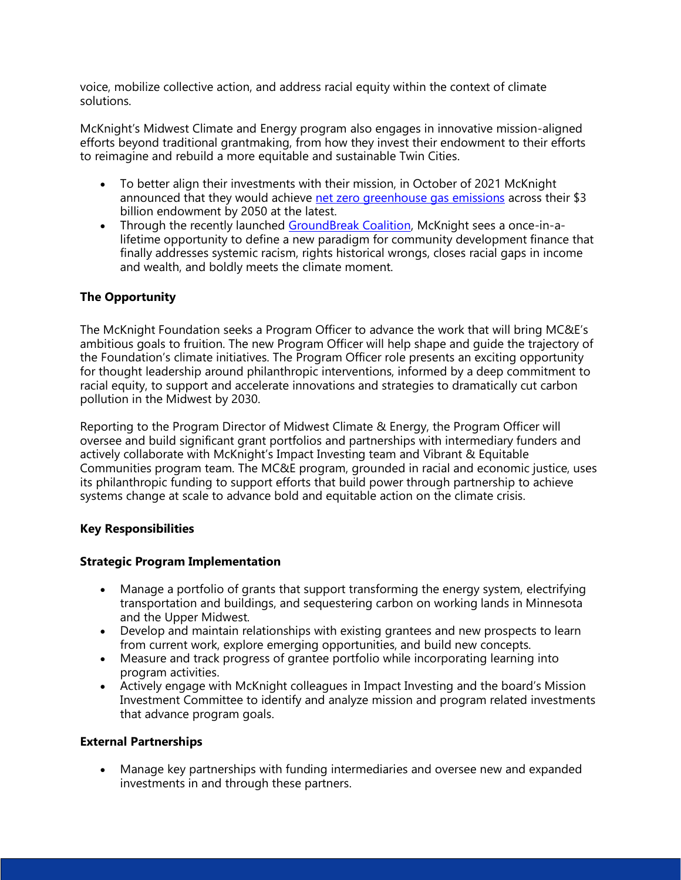voice, mobilize collective action, and address racial equity within the context of climate solutions.

McKnight's Midwest Climate and Energy program also engages in innovative mission-aligned efforts beyond traditional grantmaking, from how they invest their endowment to their efforts to reimagine and rebuild a more equitable and sustainable Twin Cities.

- To better align their investments with their mission, in October of 2021 McKnight announced that they would achieve [net zero greenhouse gas emissions](https://www.mcknight.org/news-ideas/mcknight-commits-netzero-endowment/) across their \$3 billion endowment by 2050 at the latest.
- Through the recently launched [GroundBreak Coalition,](https://groundbreakcoalition.org/) McKnight sees a once-in-alifetime opportunity to define a new paradigm for community development finance that finally addresses systemic racism, rights historical wrongs, closes racial gaps in income and wealth, and boldly meets the climate moment.

# **The Opportunity**

The McKnight Foundation seeks a Program Officer to advance the work that will bring MC&E's ambitious goals to fruition. The new Program Officer will help shape and guide the trajectory of the Foundation's climate initiatives. The Program Officer role presents an exciting opportunity for thought leadership around philanthropic interventions, informed by a deep commitment to racial equity, to support and accelerate innovations and strategies to dramatically cut carbon pollution in the Midwest by 2030.

Reporting to the Program Director of Midwest Climate & Energy, the Program Officer will oversee and build significant grant portfolios and partnerships with intermediary funders and actively collaborate with McKnight's Impact Investing team and Vibrant & Equitable Communities program team. The MC&E program, grounded in racial and economic justice, uses its philanthropic funding to support efforts that build power through partnership to achieve systems change at scale to advance bold and equitable action on the climate crisis.

### **Key Responsibilities**

### **Strategic Program Implementation**

- Manage a portfolio of grants that support transforming the energy system, electrifying transportation and buildings, and sequestering carbon on working lands in Minnesota and the Upper Midwest.
- Develop and maintain relationships with existing grantees and new prospects to learn from current work, explore emerging opportunities, and build new concepts.
- Measure and track progress of grantee portfolio while incorporating learning into program activities.
- Actively engage with McKnight colleagues in Impact Investing and the board's Mission Investment Committee to identify and analyze mission and program related investments that advance program goals.

### **External Partnerships**

• Manage key partnerships with funding intermediaries and oversee new and expanded investments in and through these partners.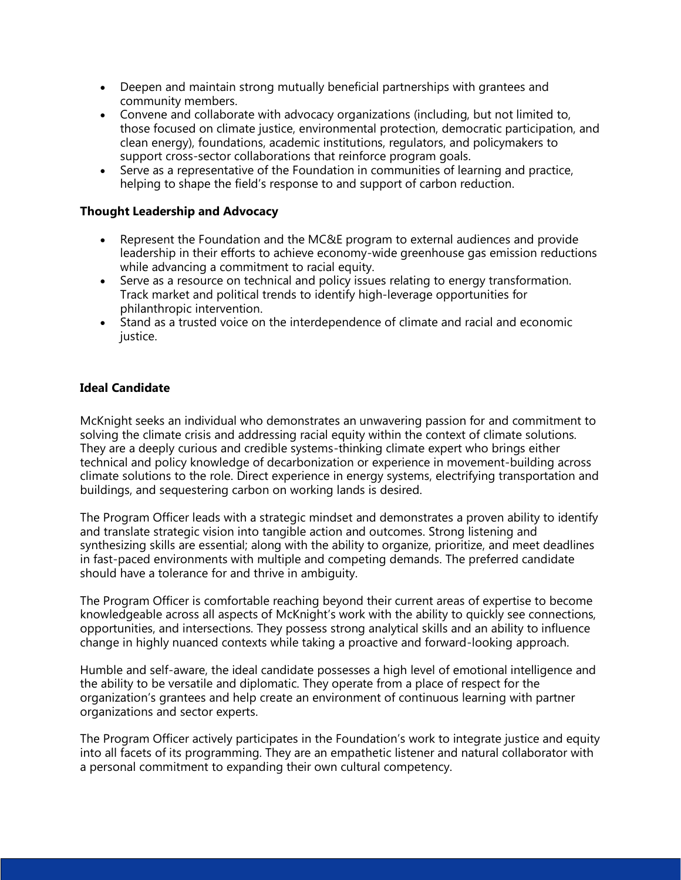- Deepen and maintain strong mutually beneficial partnerships with grantees and community members.
- Convene and collaborate with advocacy organizations (including, but not limited to, those focused on climate justice, environmental protection, democratic participation, and clean energy), foundations, academic institutions, regulators, and policymakers to support cross-sector collaborations that reinforce program goals.
- Serve as a representative of the Foundation in communities of learning and practice, helping to shape the field's response to and support of carbon reduction.

### **Thought Leadership and Advocacy**

- Represent the Foundation and the MC&E program to external audiences and provide leadership in their efforts to achieve economy-wide greenhouse gas emission reductions while advancing a commitment to racial equity.
- Serve as a resource on technical and policy issues relating to energy transformation. Track market and political trends to identify high-leverage opportunities for philanthropic intervention.
- Stand as a trusted voice on the interdependence of climate and racial and economic justice.

## **Ideal Candidate**

McKnight seeks an individual who demonstrates an unwavering passion for and commitment to solving the climate crisis and addressing racial equity within the context of climate solutions. They are a deeply curious and credible systems-thinking climate expert who brings either technical and policy knowledge of decarbonization or experience in movement-building across climate solutions to the role. Direct experience in energy systems, electrifying transportation and buildings, and sequestering carbon on working lands is desired.

The Program Officer leads with a strategic mindset and demonstrates a proven ability to identify and translate strategic vision into tangible action and outcomes. Strong listening and synthesizing skills are essential; along with the ability to organize, prioritize, and meet deadlines in fast-paced environments with multiple and competing demands. The preferred candidate should have a tolerance for and thrive in ambiguity.

The Program Officer is comfortable reaching beyond their current areas of expertise to become knowledgeable across all aspects of McKnight's work with the ability to quickly see connections, opportunities, and intersections. They possess strong analytical skills and an ability to influence change in highly nuanced contexts while taking a proactive and forward-looking approach.

Humble and self-aware, the ideal candidate possesses a high level of emotional intelligence and the ability to be versatile and diplomatic. They operate from a place of respect for the organization's grantees and help create an environment of continuous learning with partner organizations and sector experts.

The Program Officer actively participates in the Foundation's work to integrate justice and equity into all facets of its programming. They are an empathetic listener and natural collaborator with a personal commitment to expanding their own cultural competency.